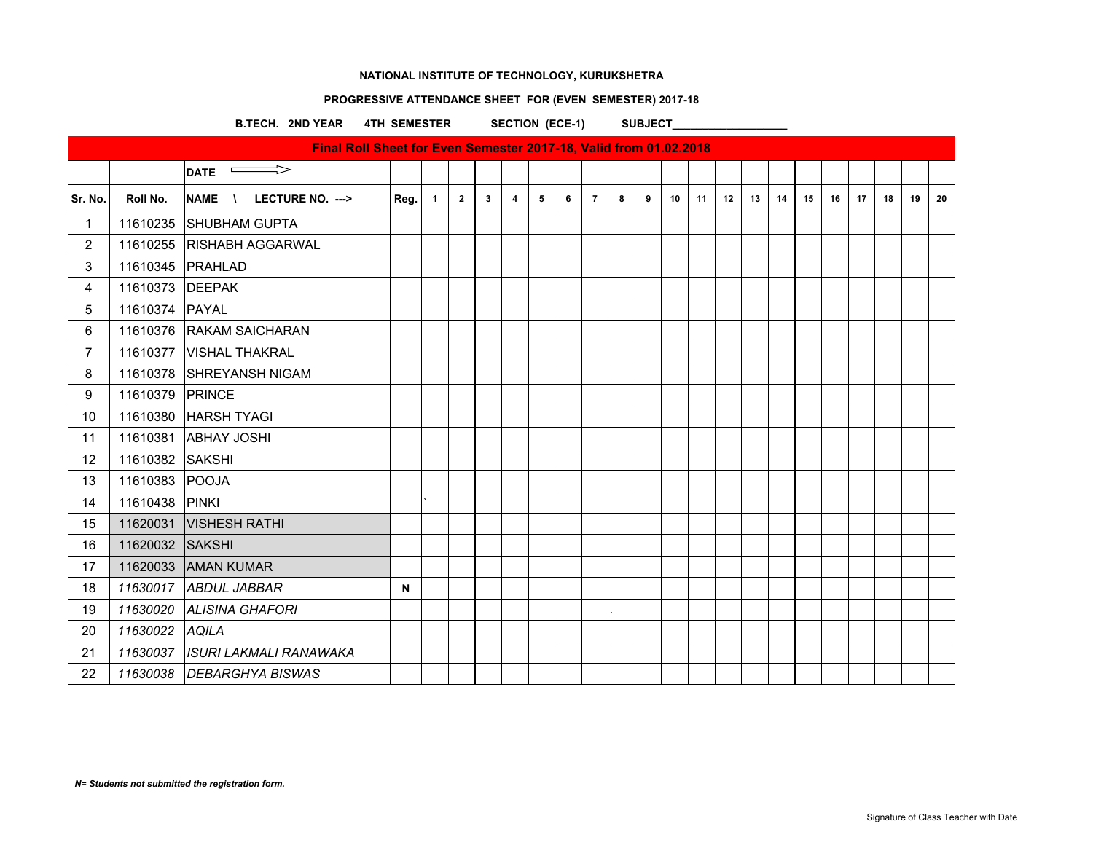# **PROGRESSIVE ATTENDANCE SHEET FOR (EVEN SEMESTER) 2017-18**

B.TECH. 2ND YEAR 4TH SEMESTER SECTION (ECE-1) SUBJECT\_

|                 |                 | Final Roll Sheet for Even Semester 2017-18, Valid from 01.02.2018 |      |                |                |              |                |   |   |                |   |   |    |    |    |    |    |    |    |    |    |    |    |
|-----------------|-----------------|-------------------------------------------------------------------|------|----------------|----------------|--------------|----------------|---|---|----------------|---|---|----|----|----|----|----|----|----|----|----|----|----|
|                 |                 | $\implies$<br><b>DATE</b>                                         |      |                |                |              |                |   |   |                |   |   |    |    |    |    |    |    |    |    |    |    |    |
| Sr. No.         | Roll No.        | NAME \ LECTURE NO. --->                                           | Reg. | $\blacksquare$ | $\overline{2}$ | $\mathbf{3}$ | $\overline{4}$ | 5 | 6 | $\overline{7}$ | 8 | 9 | 10 | 11 | 12 | 13 | 14 | 15 | 16 | 17 | 18 | 19 | 20 |
| $\mathbf{1}$    |                 | 11610235 SHUBHAM GUPTA                                            |      |                |                |              |                |   |   |                |   |   |    |    |    |    |    |    |    |    |    |    |    |
| $\overline{c}$  |                 | 11610255 RISHABH AGGARWAL                                         |      |                |                |              |                |   |   |                |   |   |    |    |    |    |    |    |    |    |    |    |    |
| 3               |                 | 11610345   PRAHLAD                                                |      |                |                |              |                |   |   |                |   |   |    |    |    |    |    |    |    |    |    |    |    |
| 4               | 11610373 DEEPAK |                                                                   |      |                |                |              |                |   |   |                |   |   |    |    |    |    |    |    |    |    |    |    |    |
| 5               | 11610374 PAYAL  |                                                                   |      |                |                |              |                |   |   |                |   |   |    |    |    |    |    |    |    |    |    |    |    |
| 6               |                 | 11610376 RAKAM SAICHARAN                                          |      |                |                |              |                |   |   |                |   |   |    |    |    |    |    |    |    |    |    |    |    |
| $\overline{7}$  |                 | 11610377   VISHAL THAKRAL                                         |      |                |                |              |                |   |   |                |   |   |    |    |    |    |    |    |    |    |    |    |    |
| 8               |                 | 11610378 SHREYANSH NIGAM                                          |      |                |                |              |                |   |   |                |   |   |    |    |    |    |    |    |    |    |    |    |    |
| 9               | 11610379 PRINCE |                                                                   |      |                |                |              |                |   |   |                |   |   |    |    |    |    |    |    |    |    |    |    |    |
| 10 <sup>°</sup> |                 | 11610380 HARSH TYAGI                                              |      |                |                |              |                |   |   |                |   |   |    |    |    |    |    |    |    |    |    |    |    |
| 11              |                 | 11610381 ABHAY JOSHI                                              |      |                |                |              |                |   |   |                |   |   |    |    |    |    |    |    |    |    |    |    |    |
| 12              | 11610382 SAKSHI |                                                                   |      |                |                |              |                |   |   |                |   |   |    |    |    |    |    |    |    |    |    |    |    |
| 13              | 11610383 POOJA  |                                                                   |      |                |                |              |                |   |   |                |   |   |    |    |    |    |    |    |    |    |    |    |    |
| 14              | 11610438 PINKI  |                                                                   |      |                |                |              |                |   |   |                |   |   |    |    |    |    |    |    |    |    |    |    |    |
| 15              |                 | 11620031  VISHESH RATHI                                           |      |                |                |              |                |   |   |                |   |   |    |    |    |    |    |    |    |    |    |    |    |
| 16              | 11620032 SAKSHI |                                                                   |      |                |                |              |                |   |   |                |   |   |    |    |    |    |    |    |    |    |    |    |    |
| 17              |                 | 11620033 AMAN KUMAR                                               |      |                |                |              |                |   |   |                |   |   |    |    |    |    |    |    |    |    |    |    |    |
| 18              |                 | 11630017 ABDUL JABBAR                                             | N    |                |                |              |                |   |   |                |   |   |    |    |    |    |    |    |    |    |    |    |    |
| 19              |                 | 11630020 ALISINA GHAFORI                                          |      |                |                |              |                |   |   |                |   |   |    |    |    |    |    |    |    |    |    |    |    |
| 20              | 11630022 AQILA  |                                                                   |      |                |                |              |                |   |   |                |   |   |    |    |    |    |    |    |    |    |    |    |    |
| 21              |                 | 11630037   ISURI LAKMALI RANAWAKA                                 |      |                |                |              |                |   |   |                |   |   |    |    |    |    |    |    |    |    |    |    |    |
| 22              |                 | 11630038 DEBARGHYA BISWAS                                         |      |                |                |              |                |   |   |                |   |   |    |    |    |    |    |    |    |    |    |    |    |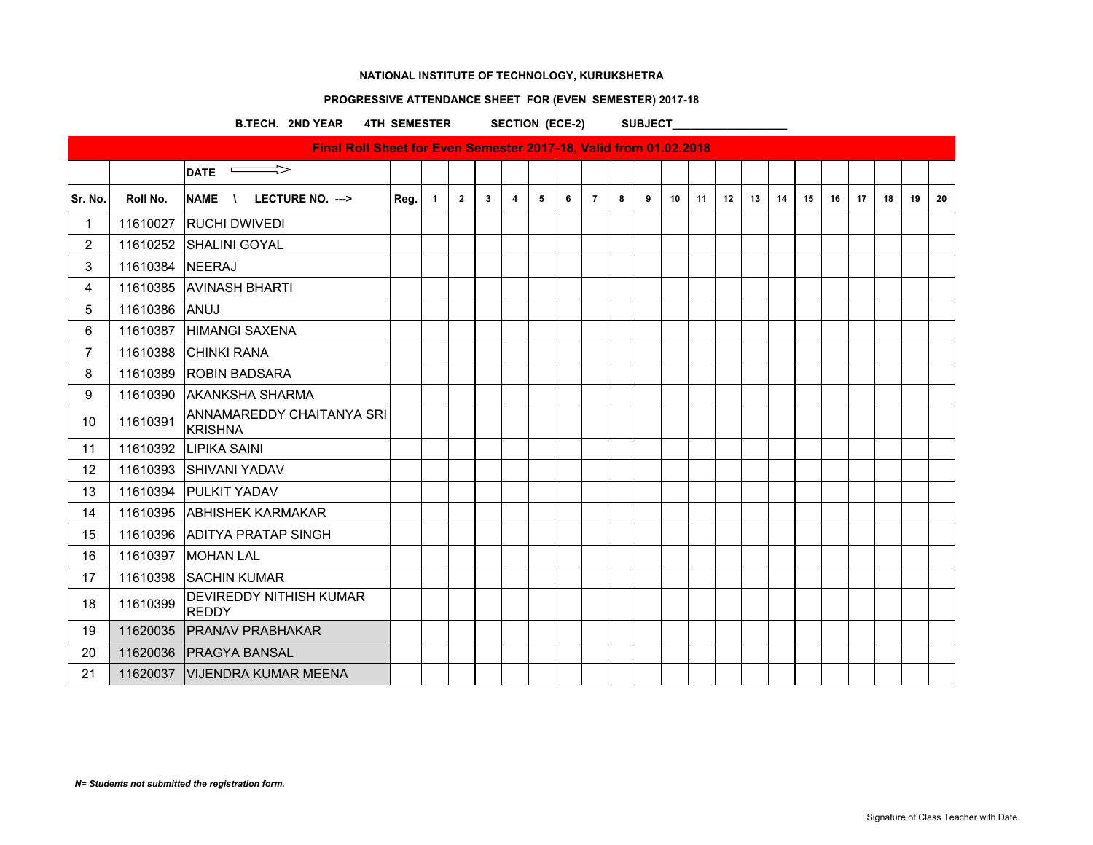### **PROGRESSIVE ATTENDANCE SHEET FOR (EVEN SEMESTER) 2017-18**

B.TECH. 2ND YEAR 4TH SEMESTER SECTION (ECE-2) SUBJECT

 $\overline{\phantom{a}}$ DATE  $\overline{\phantom{a}}$ Sr. No. | Roll No. |NAME \ LECTURE NO. ---> | Reg. | 1 | 2 | 3 | 4 | 5 | 6 | 7 | 8 | 9 | 10 | 11 | 12 | 13 | 14 | 15 | 16 | 17 | 18 | 19 | 20 11610027 RUCHI DWIVEDI 11610252 SHALINI GOYAL 11610384 NEERAJ 11610385 AVINASH BHARTI 11610386 ANUJ 11610387 HIMANGI SAXENA 11610388 CHINKI RANA 11610389 ROBIN BADSARA 11610390 AKANKSHA SHARMA 10 11610391 ANNAMAREDDY CHAITANYA SRI **KRISHNA**  11610392 LIPIKA SAINI 12 | 11610393 SHIVANI YADAV 11610394 PULKIT YADAV 11610395 ABHISHEK KARMAKAR 11610396 ADITYA PRATAP SINGH 11610397 MOHAN LAL 17 | 11610398 | SACHIN KUMAR 18 11610399 DEVIREDDY NITHISH KUMAR REDDY 11620035 PRANAV PRABHAKAR 11620036 PRAGYA BANSAL 21 | 11620037 | VIJENDRA KUMAR MEENA **Final Roll Sheet for Even Semester 2017-18, Valid from 01.02.2018**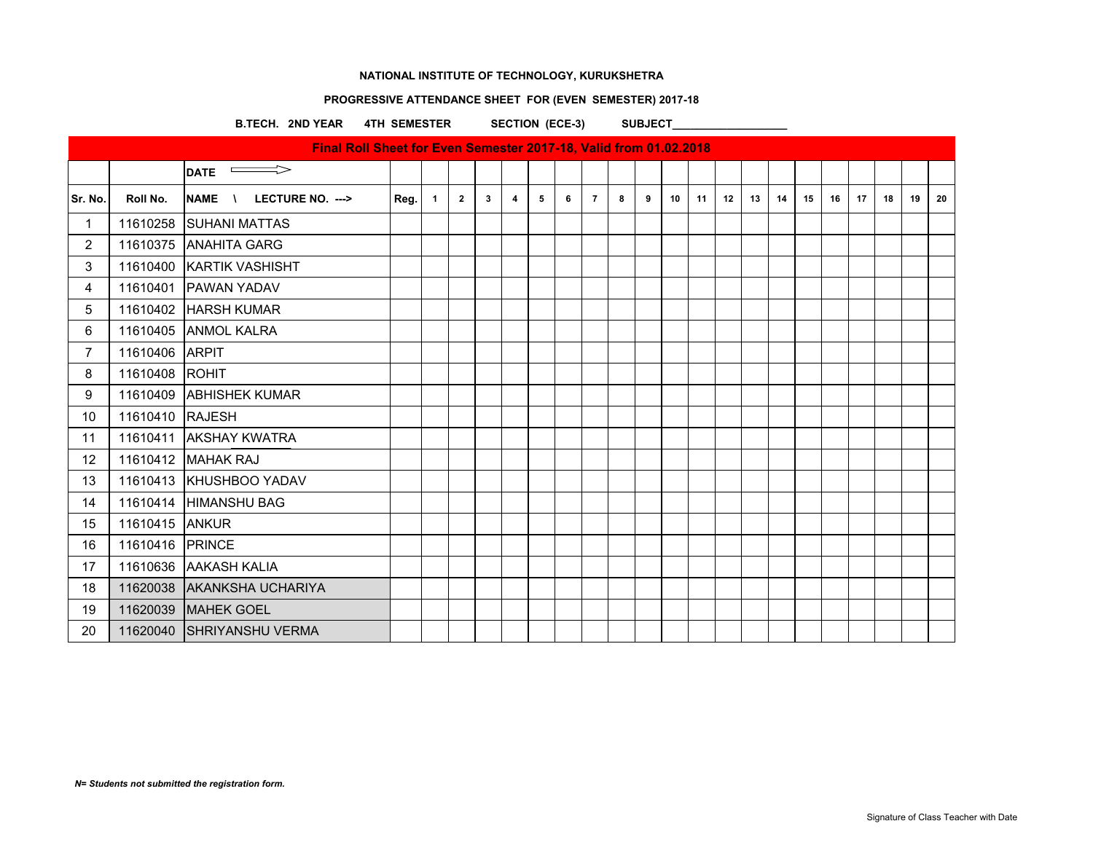# **PROGRESSIVE ATTENDANCE SHEET FOR (EVEN SEMESTER) 2017-18**

B.TECH. 2ND YEAR 4TH SEMESTER SECTION (ECE-3) SUBJECT\_

|                |                 | Final Roll Sheet for Even Semester 2017-18, Valid from 01.02.2018 |      |                |                |              |   |   |   |                |   |   |    |    |    |    |    |    |    |    |    |    |    |
|----------------|-----------------|-------------------------------------------------------------------|------|----------------|----------------|--------------|---|---|---|----------------|---|---|----|----|----|----|----|----|----|----|----|----|----|
|                |                 | $\Rightarrow$<br><b>DATE</b>                                      |      |                |                |              |   |   |   |                |   |   |    |    |    |    |    |    |    |    |    |    |    |
| Sr. No.        | Roll No.        | LECTURE NO. ---><br>NAME \                                        | Reg. | $\overline{1}$ | $\overline{2}$ | $\mathbf{3}$ | 4 | 5 | 6 | $\overline{7}$ | 8 | 9 | 10 | 11 | 12 | 13 | 14 | 15 | 16 | 17 | 18 | 19 | 20 |
| $\mathbf{1}$   |                 | 11610258 SUHANI MATTAS                                            |      |                |                |              |   |   |   |                |   |   |    |    |    |    |    |    |    |    |    |    |    |
| $\overline{2}$ |                 | 11610375 ANAHITA GARG                                             |      |                |                |              |   |   |   |                |   |   |    |    |    |    |    |    |    |    |    |    |    |
| 3              |                 | 11610400 KARTIK VASHISHT                                          |      |                |                |              |   |   |   |                |   |   |    |    |    |    |    |    |    |    |    |    |    |
| $\overline{4}$ |                 | 11610401 PAWAN YADAV                                              |      |                |                |              |   |   |   |                |   |   |    |    |    |    |    |    |    |    |    |    |    |
| 5              |                 | 11610402 HARSH KUMAR                                              |      |                |                |              |   |   |   |                |   |   |    |    |    |    |    |    |    |    |    |    |    |
| 6              |                 | 11610405 ANMOL KALRA                                              |      |                |                |              |   |   |   |                |   |   |    |    |    |    |    |    |    |    |    |    |    |
| $\overline{7}$ | 11610406 ARPIT  |                                                                   |      |                |                |              |   |   |   |                |   |   |    |    |    |    |    |    |    |    |    |    |    |
| 8              | 11610408 ROHIT  |                                                                   |      |                |                |              |   |   |   |                |   |   |    |    |    |    |    |    |    |    |    |    |    |
| 9              |                 | 11610409 ABHISHEK KUMAR                                           |      |                |                |              |   |   |   |                |   |   |    |    |    |    |    |    |    |    |    |    |    |
| 10             | 11610410 RAJESH |                                                                   |      |                |                |              |   |   |   |                |   |   |    |    |    |    |    |    |    |    |    |    |    |
| 11             |                 | 11610411 AKSHAY KWATRA                                            |      |                |                |              |   |   |   |                |   |   |    |    |    |    |    |    |    |    |    |    |    |
| 12             |                 | 11610412 MAHAK RAJ                                                |      |                |                |              |   |   |   |                |   |   |    |    |    |    |    |    |    |    |    |    |    |
| 13             |                 | 11610413 KHUSHBOO YADAV                                           |      |                |                |              |   |   |   |                |   |   |    |    |    |    |    |    |    |    |    |    |    |
| 14             |                 | 11610414 HIMANSHU BAG                                             |      |                |                |              |   |   |   |                |   |   |    |    |    |    |    |    |    |    |    |    |    |
| 15             | 11610415 ANKUR  |                                                                   |      |                |                |              |   |   |   |                |   |   |    |    |    |    |    |    |    |    |    |    |    |
| 16             | 11610416 PRINCE |                                                                   |      |                |                |              |   |   |   |                |   |   |    |    |    |    |    |    |    |    |    |    |    |
| 17             |                 | 11610636 AAKASH KALIA                                             |      |                |                |              |   |   |   |                |   |   |    |    |    |    |    |    |    |    |    |    |    |
| 18             |                 | 11620038 AKANKSHA UCHARIYA                                        |      |                |                |              |   |   |   |                |   |   |    |    |    |    |    |    |    |    |    |    |    |
| 19             |                 | 11620039 MAHEK GOEL                                               |      |                |                |              |   |   |   |                |   |   |    |    |    |    |    |    |    |    |    |    |    |
| 20             |                 | 11620040 SHRIYANSHU VERMA                                         |      |                |                |              |   |   |   |                |   |   |    |    |    |    |    |    |    |    |    |    |    |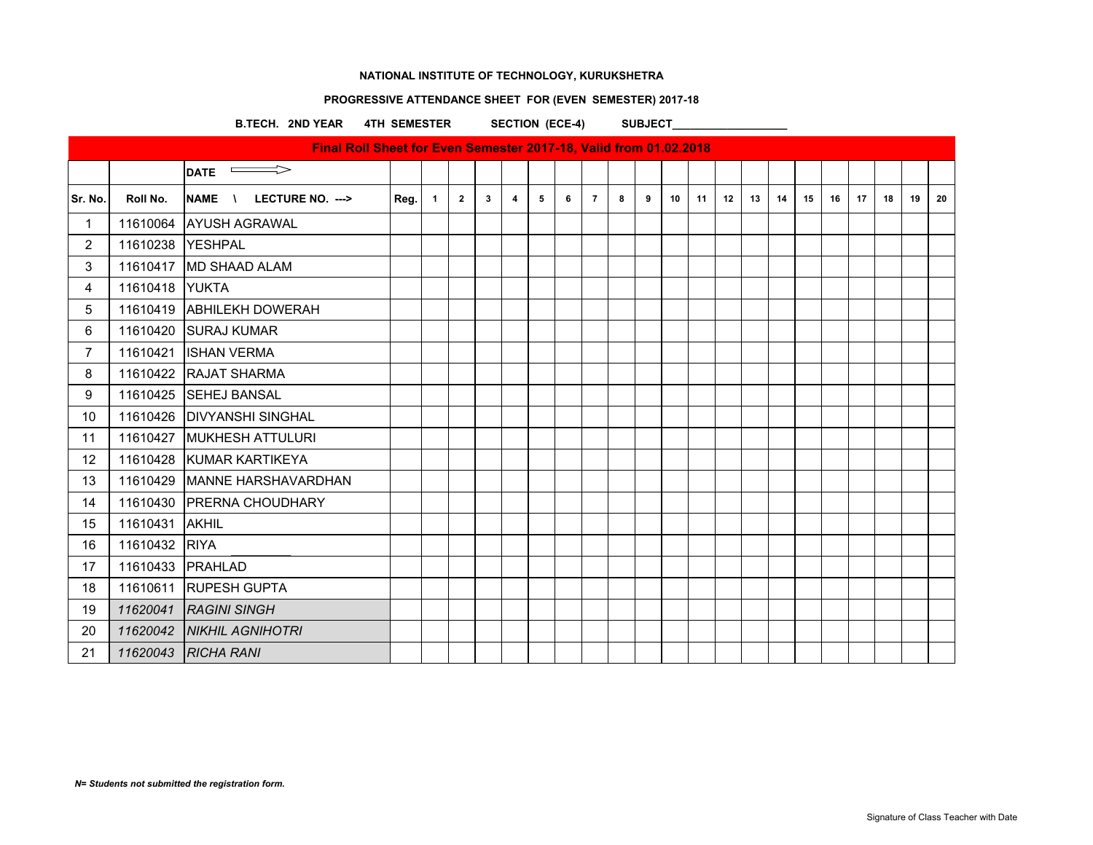# **PROGRESSIVE ATTENDANCE SHEET FOR (EVEN SEMESTER) 2017-18**

B.TECH. 2ND YEAR 4TH SEMESTER SECTION (ECE-4) SUBJECT

|                   |                  | Final Roll Sheet for Even Semester 2017-18, Valid from 01.02.2018 |      |                |                |              |                  |   |   |                |   |   |    |    |    |    |    |    |    |    |    |    |    |
|-------------------|------------------|-------------------------------------------------------------------|------|----------------|----------------|--------------|------------------|---|---|----------------|---|---|----|----|----|----|----|----|----|----|----|----|----|
|                   |                  | $\qquad \qquad \Longrightarrow$<br><b>DATE</b>                    |      |                |                |              |                  |   |   |                |   |   |    |    |    |    |    |    |    |    |    |    |    |
| Sr. No.           | Roll No.         | NAME \<br>LECTURE NO. --->                                        | Reg. | $\overline{1}$ | $\overline{2}$ | $\mathbf{3}$ | $\blacktriangle$ | 5 | 6 | $\overline{7}$ | 8 | 9 | 10 | 11 | 12 | 13 | 14 | 15 | 16 | 17 | 18 | 19 | 20 |
| $\mathbf 1$       |                  | 11610064 AYUSH AGRAWAL                                            |      |                |                |              |                  |   |   |                |   |   |    |    |    |    |    |    |    |    |    |    |    |
| $\overline{2}$    | 11610238 YESHPAL |                                                                   |      |                |                |              |                  |   |   |                |   |   |    |    |    |    |    |    |    |    |    |    |    |
| 3                 |                  | 11610417 MD SHAAD ALAM                                            |      |                |                |              |                  |   |   |                |   |   |    |    |    |    |    |    |    |    |    |    |    |
| 4                 | 11610418 YUKTA   |                                                                   |      |                |                |              |                  |   |   |                |   |   |    |    |    |    |    |    |    |    |    |    |    |
| 5                 |                  | 11610419 ABHILEKH DOWERAH                                         |      |                |                |              |                  |   |   |                |   |   |    |    |    |    |    |    |    |    |    |    |    |
| 6                 |                  | 11610420 SURAJ KUMAR                                              |      |                |                |              |                  |   |   |                |   |   |    |    |    |    |    |    |    |    |    |    |    |
| $\overline{7}$    | 11610421         | <b>ISHAN VERMA</b>                                                |      |                |                |              |                  |   |   |                |   |   |    |    |    |    |    |    |    |    |    |    |    |
| 8                 |                  | 11610422 RAJAT SHARMA                                             |      |                |                |              |                  |   |   |                |   |   |    |    |    |    |    |    |    |    |    |    |    |
| 9                 |                  | 11610425 SEHEJ BANSAL                                             |      |                |                |              |                  |   |   |                |   |   |    |    |    |    |    |    |    |    |    |    |    |
| 10 <sup>°</sup>   |                  | 11610426   DIVYANSHI SINGHAL                                      |      |                |                |              |                  |   |   |                |   |   |    |    |    |    |    |    |    |    |    |    |    |
| 11                |                  | 11610427 MUKHESH ATTULURI                                         |      |                |                |              |                  |   |   |                |   |   |    |    |    |    |    |    |    |    |    |    |    |
| $12 \overline{ }$ |                  | 11610428 KUMAR KARTIKEYA                                          |      |                |                |              |                  |   |   |                |   |   |    |    |    |    |    |    |    |    |    |    |    |
| 13                |                  | 11610429 MANNE HARSHAVARDHAN                                      |      |                |                |              |                  |   |   |                |   |   |    |    |    |    |    |    |    |    |    |    |    |
| 14                |                  | 11610430 PRERNA CHOUDHARY                                         |      |                |                |              |                  |   |   |                |   |   |    |    |    |    |    |    |    |    |    |    |    |
| 15                | 11610431         | <b>AKHIL</b>                                                      |      |                |                |              |                  |   |   |                |   |   |    |    |    |    |    |    |    |    |    |    |    |
| 16                | 11610432 RIYA    |                                                                   |      |                |                |              |                  |   |   |                |   |   |    |    |    |    |    |    |    |    |    |    |    |
| 17                |                  | 11610433 PRAHLAD                                                  |      |                |                |              |                  |   |   |                |   |   |    |    |    |    |    |    |    |    |    |    |    |
| 18                | 11610611         | <b>RUPESH GUPTA</b>                                               |      |                |                |              |                  |   |   |                |   |   |    |    |    |    |    |    |    |    |    |    |    |
| 19                |                  | 11620041 RAGINI SINGH                                             |      |                |                |              |                  |   |   |                |   |   |    |    |    |    |    |    |    |    |    |    |    |
| 20                |                  | 11620042   NIKHIL AGNIHOTRI                                       |      |                |                |              |                  |   |   |                |   |   |    |    |    |    |    |    |    |    |    |    |    |
| 21                |                  | 11620043 RICHA RANI                                               |      |                |                |              |                  |   |   |                |   |   |    |    |    |    |    |    |    |    |    |    |    |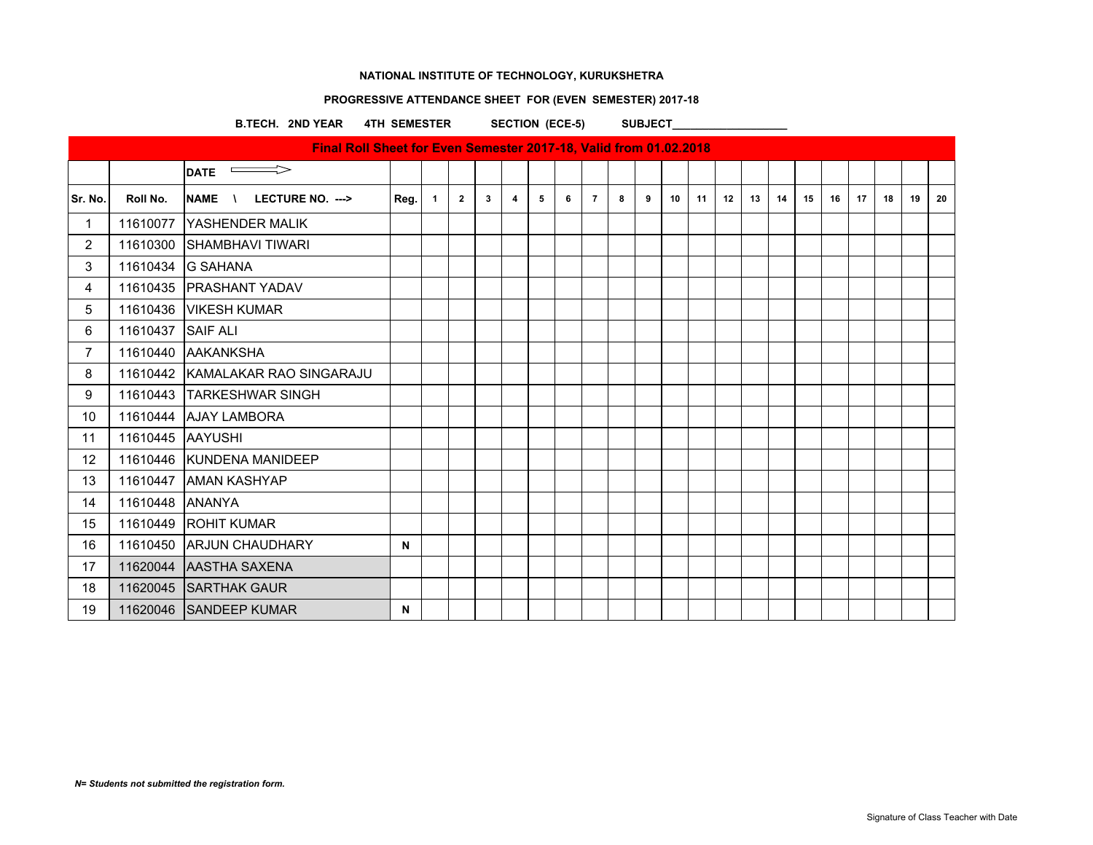# **PROGRESSIVE ATTENDANCE SHEET FOR (EVEN SEMESTER) 2017-18**

B.TECH. 2ND YEAR 4TH SEMESTER SECTION (ECE-5) SUBJECT\_

|                |                  | Final Roll Sheet for Even Semester 2017-18, Valid from 01.02.2018 |      |                |                |   |   |   |   |                |   |   |    |    |    |    |    |    |    |    |    |    |    |
|----------------|------------------|-------------------------------------------------------------------|------|----------------|----------------|---|---|---|---|----------------|---|---|----|----|----|----|----|----|----|----|----|----|----|
|                |                  | $\implies$<br><b>DATE</b>                                         |      |                |                |   |   |   |   |                |   |   |    |    |    |    |    |    |    |    |    |    |    |
| Sr. No.        | Roll No.         | <b>NAME</b><br>LECTURE NO. ---><br>$\lambda$                      | Reg. | $\overline{1}$ | $\overline{2}$ | 3 | 4 | 5 | 6 | $\overline{7}$ | 8 | 9 | 10 | 11 | 12 | 13 | 14 | 15 | 16 | 17 | 18 | 19 | 20 |
| 1              | 11610077         | YASHENDER MALIK                                                   |      |                |                |   |   |   |   |                |   |   |    |    |    |    |    |    |    |    |    |    |    |
| $\overline{2}$ | 11610300         | <b>SHAMBHAVI TIWARI</b>                                           |      |                |                |   |   |   |   |                |   |   |    |    |    |    |    |    |    |    |    |    |    |
| 3              | 11610434         | <b>G SAHANA</b>                                                   |      |                |                |   |   |   |   |                |   |   |    |    |    |    |    |    |    |    |    |    |    |
| 4              |                  | 11610435   PRASHANT YADAV                                         |      |                |                |   |   |   |   |                |   |   |    |    |    |    |    |    |    |    |    |    |    |
| 5              | 11610436         | <b>VIKESH KUMAR</b>                                               |      |                |                |   |   |   |   |                |   |   |    |    |    |    |    |    |    |    |    |    |    |
| 6              | 11610437         | <b>SAIF ALI</b>                                                   |      |                |                |   |   |   |   |                |   |   |    |    |    |    |    |    |    |    |    |    |    |
| $\overline{7}$ | 11610440         | <b>AAKANKSHA</b>                                                  |      |                |                |   |   |   |   |                |   |   |    |    |    |    |    |    |    |    |    |    |    |
| 8              |                  | 11610442 KAMALAKAR RAO SINGARAJU                                  |      |                |                |   |   |   |   |                |   |   |    |    |    |    |    |    |    |    |    |    |    |
| 9              |                  | 11610443 TARKESHWAR SINGH                                         |      |                |                |   |   |   |   |                |   |   |    |    |    |    |    |    |    |    |    |    |    |
| 10             |                  | 11610444 AJAY LAMBORA                                             |      |                |                |   |   |   |   |                |   |   |    |    |    |    |    |    |    |    |    |    |    |
| 11             | 11610445 AAYUSHI |                                                                   |      |                |                |   |   |   |   |                |   |   |    |    |    |    |    |    |    |    |    |    |    |
| 12             |                  | 11610446 KUNDENA MANIDEEP                                         |      |                |                |   |   |   |   |                |   |   |    |    |    |    |    |    |    |    |    |    |    |
| 13             | 11610447         | <b>JAMAN KASHYAP</b>                                              |      |                |                |   |   |   |   |                |   |   |    |    |    |    |    |    |    |    |    |    |    |
| 14             | 11610448         | <b>ANANYA</b>                                                     |      |                |                |   |   |   |   |                |   |   |    |    |    |    |    |    |    |    |    |    |    |
| 15             | 11610449         | <b>ROHIT KUMAR</b>                                                |      |                |                |   |   |   |   |                |   |   |    |    |    |    |    |    |    |    |    |    |    |
| 16             | 11610450         | <b>ARJUN CHAUDHARY</b>                                            | N    |                |                |   |   |   |   |                |   |   |    |    |    |    |    |    |    |    |    |    |    |
| 17             |                  | 11620044 AASTHA SAXENA                                            |      |                |                |   |   |   |   |                |   |   |    |    |    |    |    |    |    |    |    |    |    |
| 18             |                  | 11620045 SARTHAK GAUR                                             |      |                |                |   |   |   |   |                |   |   |    |    |    |    |    |    |    |    |    |    |    |
| 19             |                  | 11620046 SANDEEP KUMAR                                            | N    |                |                |   |   |   |   |                |   |   |    |    |    |    |    |    |    |    |    |    |    |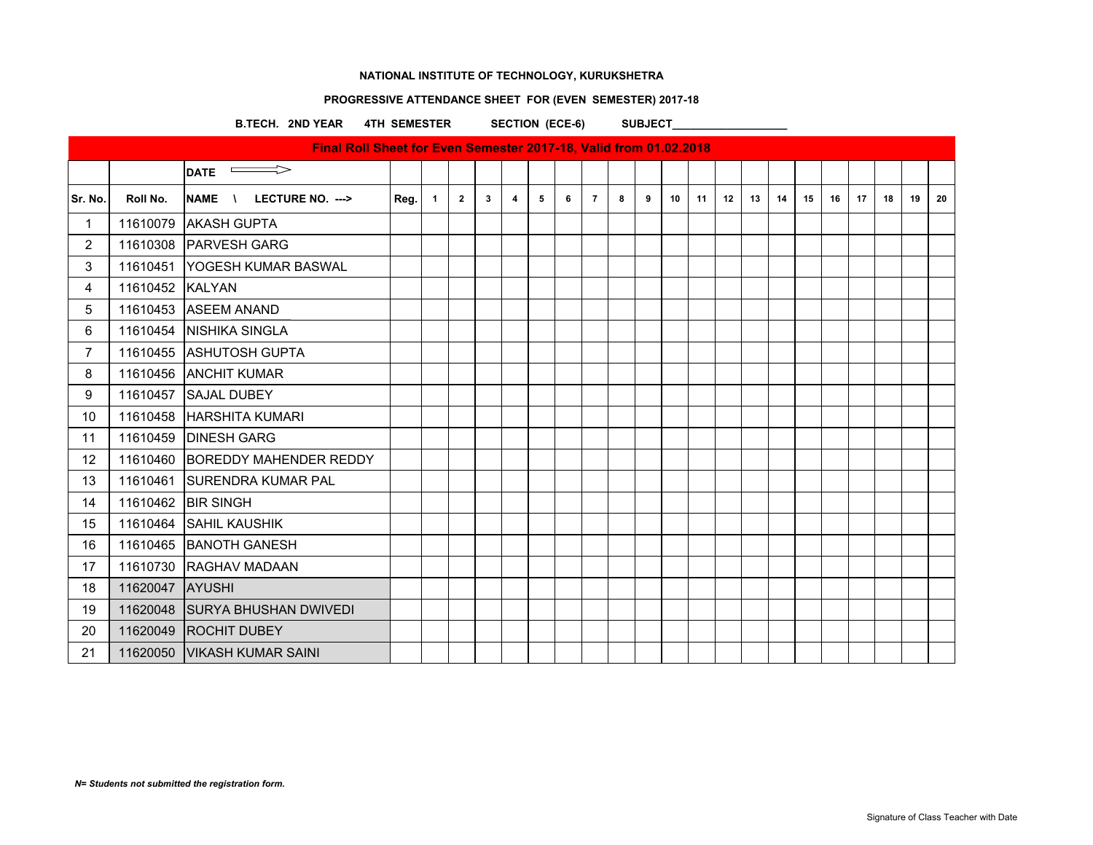# **PROGRESSIVE ATTENDANCE SHEET FOR (EVEN SEMESTER) 2017-18**

B.TECH. 2ND YEAR 4TH SEMESTER SECTION (ECE-6) SUBJECT\_

|                   |                 | Final Roll Sheet for Even Semester 2017-18, Valid from 01.02.2018 |      |                |                |              |   |                |   |                |   |   |    |    |    |    |    |    |    |    |    |    |    |
|-------------------|-----------------|-------------------------------------------------------------------|------|----------------|----------------|--------------|---|----------------|---|----------------|---|---|----|----|----|----|----|----|----|----|----|----|----|
|                   |                 | $\Rightarrow$<br><b>DATE</b>                                      |      |                |                |              |   |                |   |                |   |   |    |    |    |    |    |    |    |    |    |    |    |
| Sr. No.           | Roll No.        | NAME \<br>LECTURE NO. --->                                        | Reg. | $\overline{1}$ | $\overline{2}$ | $\mathbf{3}$ | 4 | 5 <sub>5</sub> | 6 | $\overline{7}$ | 8 | 9 | 10 | 11 | 12 | 13 | 14 | 15 | 16 | 17 | 18 | 19 | 20 |
| $\mathbf{1}$      |                 | 11610079 AKASH GUPTA                                              |      |                |                |              |   |                |   |                |   |   |    |    |    |    |    |    |    |    |    |    |    |
| $\overline{2}$    |                 | 11610308 PARVESH GARG                                             |      |                |                |              |   |                |   |                |   |   |    |    |    |    |    |    |    |    |    |    |    |
| 3                 | 11610451        | <b>IYOGESH KUMAR BASWAL</b>                                       |      |                |                |              |   |                |   |                |   |   |    |    |    |    |    |    |    |    |    |    |    |
| 4                 | 11610452 KALYAN |                                                                   |      |                |                |              |   |                |   |                |   |   |    |    |    |    |    |    |    |    |    |    |    |
| 5                 |                 | 11610453 ASEEM ANAND                                              |      |                |                |              |   |                |   |                |   |   |    |    |    |    |    |    |    |    |    |    |    |
| 6                 |                 | 11610454 NISHIKA SINGLA                                           |      |                |                |              |   |                |   |                |   |   |    |    |    |    |    |    |    |    |    |    |    |
| $\overline{7}$    |                 | 11610455 ASHUTOSH GUPTA                                           |      |                |                |              |   |                |   |                |   |   |    |    |    |    |    |    |    |    |    |    |    |
| 8                 |                 | 11610456 ANCHIT KUMAR                                             |      |                |                |              |   |                |   |                |   |   |    |    |    |    |    |    |    |    |    |    |    |
| 9                 | 11610457        | <b>SAJAL DUBEY</b>                                                |      |                |                |              |   |                |   |                |   |   |    |    |    |    |    |    |    |    |    |    |    |
| 10                |                 | 11610458 HARSHITA KUMARI                                          |      |                |                |              |   |                |   |                |   |   |    |    |    |    |    |    |    |    |    |    |    |
| 11                |                 | 11610459 DINESH GARG                                              |      |                |                |              |   |                |   |                |   |   |    |    |    |    |    |    |    |    |    |    |    |
| $12 \overline{ }$ |                 | 11610460 BOREDDY MAHENDER REDDY                                   |      |                |                |              |   |                |   |                |   |   |    |    |    |    |    |    |    |    |    |    |    |
| 13                | 11610461        | <b>ISURENDRA KUMAR PAL</b>                                        |      |                |                |              |   |                |   |                |   |   |    |    |    |    |    |    |    |    |    |    |    |
| 14                |                 | 11610462 BIR SINGH                                                |      |                |                |              |   |                |   |                |   |   |    |    |    |    |    |    |    |    |    |    |    |
| 15                |                 | 11610464 SAHIL KAUSHIK                                            |      |                |                |              |   |                |   |                |   |   |    |    |    |    |    |    |    |    |    |    |    |
| 16                |                 | 11610465 BANOTH GANESH                                            |      |                |                |              |   |                |   |                |   |   |    |    |    |    |    |    |    |    |    |    |    |
| 17                |                 | 11610730 RAGHAV MADAAN                                            |      |                |                |              |   |                |   |                |   |   |    |    |    |    |    |    |    |    |    |    |    |
| 18                | 11620047 AYUSHI |                                                                   |      |                |                |              |   |                |   |                |   |   |    |    |    |    |    |    |    |    |    |    |    |
| 19                |                 | 11620048 SURYA BHUSHAN DWIVEDI                                    |      |                |                |              |   |                |   |                |   |   |    |    |    |    |    |    |    |    |    |    |    |
| 20                |                 | 11620049 ROCHIT DUBEY                                             |      |                |                |              |   |                |   |                |   |   |    |    |    |    |    |    |    |    |    |    |    |
| 21                |                 | 11620050 VIKASH KUMAR SAINI                                       |      |                |                |              |   |                |   |                |   |   |    |    |    |    |    |    |    |    |    |    |    |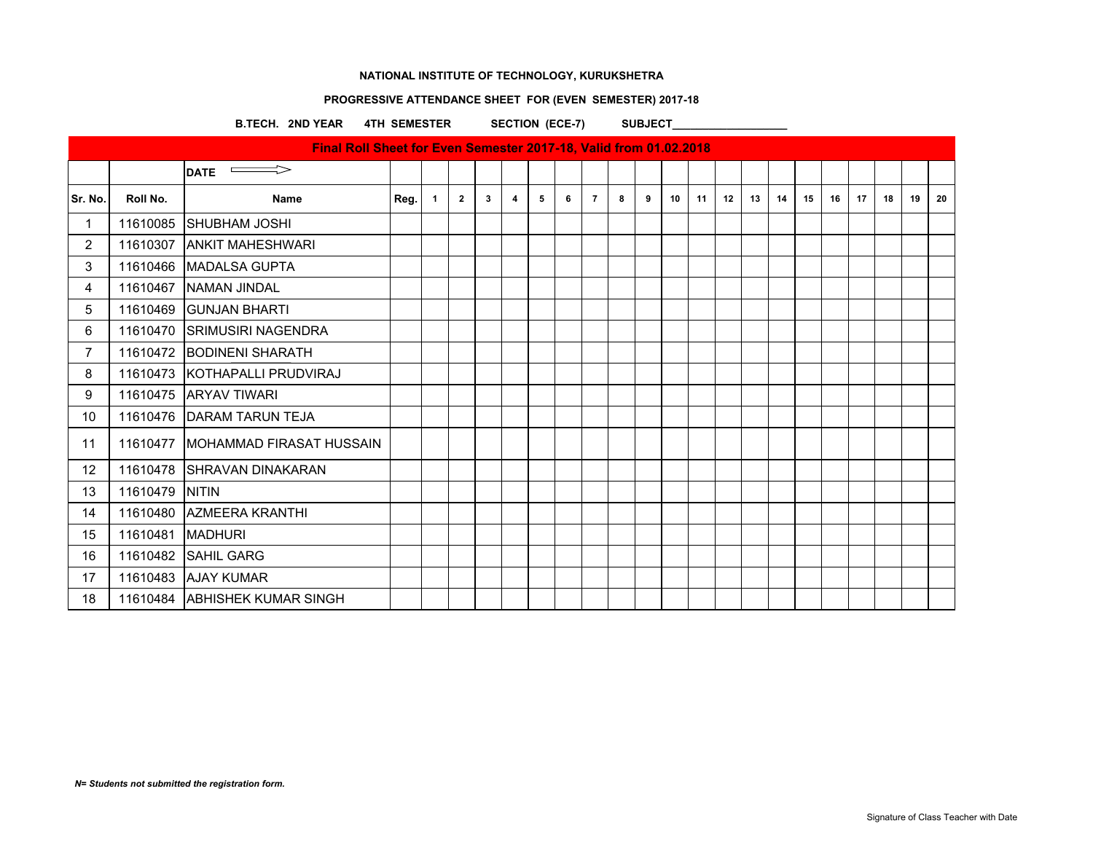# **PROGRESSIVE ATTENDANCE SHEET FOR (EVEN SEMESTER) 2017-18**

B.TECH. 2ND YEAR 4TH SEMESTER SECTION (ECE-7) SUBJECT\_

|                |          | Final Roll Sheet for Even Semester 2017-18, Valid from 01.02.2018 |      |                |                |   |   |   |   |                |   |   |    |    |    |    |    |    |    |    |    |    |    |
|----------------|----------|-------------------------------------------------------------------|------|----------------|----------------|---|---|---|---|----------------|---|---|----|----|----|----|----|----|----|----|----|----|----|
|                |          | $\overline{\phantom{0}}$ DATE                                     |      |                |                |   |   |   |   |                |   |   |    |    |    |    |    |    |    |    |    |    |    |
| Sr. No.        | Roll No. | Name                                                              | Reg. | $\overline{1}$ | $\overline{2}$ | 3 | 4 | 5 | 6 | $\overline{7}$ | 8 | 9 | 10 | 11 | 12 | 13 | 14 | 15 | 16 | 17 | 18 | 19 | 20 |
| 1              |          | 11610085 SHUBHAM JOSHI                                            |      |                |                |   |   |   |   |                |   |   |    |    |    |    |    |    |    |    |    |    |    |
| $\overline{2}$ | 11610307 | <b>ANKIT MAHESHWARI</b>                                           |      |                |                |   |   |   |   |                |   |   |    |    |    |    |    |    |    |    |    |    |    |
| 3              |          | 11610466 MADALSA GUPTA                                            |      |                |                |   |   |   |   |                |   |   |    |    |    |    |    |    |    |    |    |    |    |
| 4              |          | 11610467 NAMAN JINDAL                                             |      |                |                |   |   |   |   |                |   |   |    |    |    |    |    |    |    |    |    |    |    |
| 5              |          | 11610469 GUNJAN BHARTI                                            |      |                |                |   |   |   |   |                |   |   |    |    |    |    |    |    |    |    |    |    |    |
| 6              |          | 11610470 SRIMUSIRI NAGENDRA                                       |      |                |                |   |   |   |   |                |   |   |    |    |    |    |    |    |    |    |    |    |    |
| $\overline{7}$ |          | 11610472 BODINENI SHARATH                                         |      |                |                |   |   |   |   |                |   |   |    |    |    |    |    |    |    |    |    |    |    |
| 8              |          | 11610473 KOTHAPALLI PRUDVIRAJ                                     |      |                |                |   |   |   |   |                |   |   |    |    |    |    |    |    |    |    |    |    |    |
| 9              |          | 11610475 ARYAV TIWARI                                             |      |                |                |   |   |   |   |                |   |   |    |    |    |    |    |    |    |    |    |    |    |
| 10             |          | 11610476 DARAM TARUN TEJA                                         |      |                |                |   |   |   |   |                |   |   |    |    |    |    |    |    |    |    |    |    |    |
| 11             |          | 11610477 MOHAMMAD FIRASAT HUSSAIN                                 |      |                |                |   |   |   |   |                |   |   |    |    |    |    |    |    |    |    |    |    |    |
| 12             |          | 11610478 SHRAVAN DINAKARAN                                        |      |                |                |   |   |   |   |                |   |   |    |    |    |    |    |    |    |    |    |    |    |
| 13             | 11610479 | <b>NITIN</b>                                                      |      |                |                |   |   |   |   |                |   |   |    |    |    |    |    |    |    |    |    |    |    |
| 14             |          | 11610480 AZMEERA KRANTHI                                          |      |                |                |   |   |   |   |                |   |   |    |    |    |    |    |    |    |    |    |    |    |
| 15             | 11610481 | <b>MADHURI</b>                                                    |      |                |                |   |   |   |   |                |   |   |    |    |    |    |    |    |    |    |    |    |    |
| 16             |          | 11610482 SAHIL GARG                                               |      |                |                |   |   |   |   |                |   |   |    |    |    |    |    |    |    |    |    |    |    |
| 17             |          | 11610483 AJAY KUMAR                                               |      |                |                |   |   |   |   |                |   |   |    |    |    |    |    |    |    |    |    |    |    |
| 18             |          | 11610484 ABHISHEK KUMAR SINGH                                     |      |                |                |   |   |   |   |                |   |   |    |    |    |    |    |    |    |    |    |    |    |